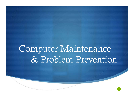## Computer Maintenance & Problem Prevention

 $\bullet$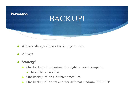

- Always always always backup your data.
- **Always**
- $\triangle$  Strategy?
	- $\bullet$  One backup of important files right on your computer
		- $\bullet$  In a different location
	- $\bullet$  One backup of on a different medium
	- $\bullet$  One backup of on yet another different medium OFFSITE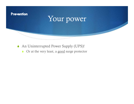

- $\triangle$  An Uninterrupted Power Supply (UPS)!
	-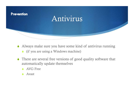

- - $\bullet$  (if you are using a Windows machine)
- $\bullet$  There are several free versions of good quality software that automatically update themselves
	- ◆ AVG Free
	- $\triangle$  Avast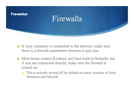

- $\bullet$  If your computer is connected to the internet, make sure there is a firewall somewhere between it and you.
- $\bullet$  Most home routers (Linksys, etc) have built-in firewalls, but if you are connected directly, make sure the firewall is turned on.
	- Windows and MacOS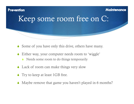# **Prevention Maintenance** Keep some room free on C:

- $\bullet$  Some of you have only this drive, others have many.
- Either way, your computer needs room to 'wiggle'
	- $\triangle$  Needs some room to do things temporarily
- $\triangle$  Lack of room can make things very slow
- $\bullet$  Try to keep at least 1GB free.
- Maybe remove that game you haven't played in 6 months?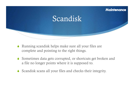

- $\bullet$  Running scandisk helps make sure all your files are complete and pointing to the right things.
- a file no longer points where it is supposed to.
- $\bullet$  Scandisk scans all your files and checks their integrity.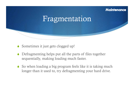#### **Maintenance**

### Fragmentation

- $\bullet$  Sometimes it just gets clogged up!
- Defragmenting helps put all the parts of files together sequentially, making loading much faster.
- $\bullet$  So when loading a big program feels like it is taking much longer than it used to, try defragmenting your hard drive.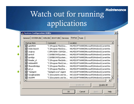# Match out for running<br>Watch out for running applications

 $\vert x \vert$ 

System Configuration Utility يُلِي

General SYSTEM.INI | WIN.INI | BOOT.INI | Services Startup | Tools |

|  | Startup Item                    | Command                | Location                                    |  |
|--|---------------------------------|------------------------|---------------------------------------------|--|
|  | $\boxtimes$ pptd40nt            | "C:\Program Files\Sca  | HKLM\SOFTWARE\Microsoft\Windows\CurrentVer. |  |
|  | ☑ IndexSearch                   | "C:\Program Files\Sca… | HKLM\SOFTWARE\Microsoft\Windows\CurrentVer. |  |
|  | $\overline{\mathbf{y}}$ avgtray | C:\PROGRA~1\AVG\A      | HKLM\SOFTWARE\Microsoft\Windows\CurrentVer. |  |
|  | <b>▽</b> iprntctl               | C:\WINDOWS\system      | HKLM\SOFTWARE\Microsoft\Windows\CurrentVer. |  |
|  | o iprntlgn                      | C:\WINDOWS\system      | HKLM\SOFTWARE\Microsoft\Windows\CurrentVer. |  |
|  | <b>☑</b> Reader_sl              | "C:\Program Files\Ado  | HKLM\SOFTWARE\Microsoft\Windows\CurrentVer. |  |
|  | <b>Ø</b> AdobeARM               | "C:\Program Files\Com… | HKLM\SOFTWARE\Microsoft\Windows\CurrentVer. |  |
|  | ☑ SharedIntApp                  | "C:\Program Files\Par  | HKLM\SOFTWARE\Microsoft\Windows\CurrentVer. |  |
|  | $\blacksquare$ pri_cc           | "C:\Program Files\Par… | HKLM\SOFTWARE\Microsoft\Windows\CurrentVer. |  |
|  | "OpAgent<br>⊻                   | "OpAgent.exe" /agent   | HKCU\SOFTWARE\Microsoft\Windows\CurrentVer. |  |
|  | ☑ GoogleUpdate                  | "C:\Documents and Se…  | HKCU\SOFTWARE\Microsoft\Windows\CurrentVer. |  |
|  | <b>Ø</b> ISUSPM                 | "C:\Documents and Se   | HKCU\SOFTWARE\Microsoft\Windows\CurrentVer. |  |
|  |                                 |                        |                                             |  |
|  |                                 |                        | Disable All<br>Enable All                   |  |
|  |                                 |                        |                                             |  |
|  |                                 | OK                     | Help<br>Cancel<br>Apply                     |  |